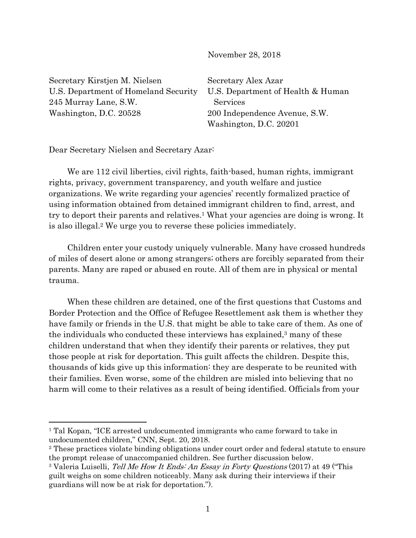November 28, 2018

Secretary Kirstjen M. Nielsen U.S. Department of Homeland Security 245 Murray Lane, S.W. Washington, D.C. 20528

Secretary Alex Azar U.S. Department of Health & Human Services 200 Independence Avenue, S.W. Washington, D.C. 20201

Dear Secretary Nielsen and Secretary Azar:

 $\overline{a}$ 

We are 112 civil liberties, civil rights, faith-based, human rights, immigrant rights, privacy, government transparency, and youth welfare and justice organizations. We write regarding your agencies' recently formalized practice of using information obtained from detained immigrant children to find, arrest, and try to deport their parents and relatives.1 What your agencies are doing is wrong. It is also illegal.2 We urge you to reverse these policies immediately.

Children enter your custody uniquely vulnerable. Many have crossed hundreds of miles of desert alone or among strangers; others are forcibly separated from their parents. Many are raped or abused en route. All of them are in physical or mental trauma.

When these children are detained, one of the first questions that Customs and Border Protection and the Office of Refugee Resettlement ask them is whether they have family or friends in the U.S. that might be able to take care of them. As one of the individuals who conducted these interviews has explained, $3$  many of these children understand that when they identify their parents or relatives, they put those people at risk for deportation. This guilt affects the children. Despite this, thousands of kids give up this information: they are desperate to be reunited with their families. Even worse, some of the children are misled into believing that no harm will come to their relatives as a result of being identified. Officials from your

<sup>1</sup> Tal Kopan, "ICE arrested undocumented immigrants who came forward to take in undocumented children," CNN, Sept. 20, 2018.

<sup>2</sup> These practices violate binding obligations under court order and federal statute to ensure the prompt release of unaccompanied children. See further discussion below.

<sup>&</sup>lt;sup>3</sup> Valeria Luiselli, *Tell Me How It Ends: An Essay in Forty Questions* (2017) at 49 ("This guilt weighs on some children noticeably. Many ask during their interviews if their guardians will now be at risk for deportation.").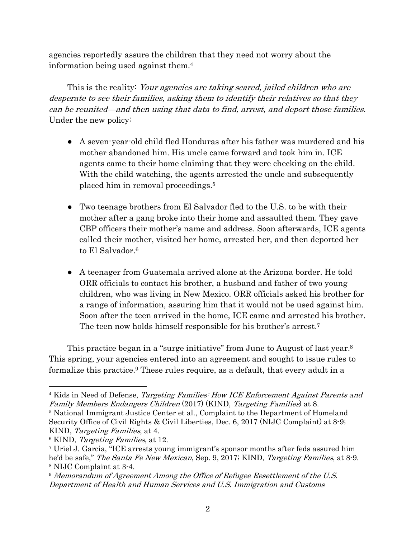agencies reportedly assure the children that they need not worry about the information being used against them.4

This is the reality: Your agencies are taking scared, jailed children who are desperate to see their families, asking them to identify their relatives so that they can be reunited—and then using that data to find, arrest, and deport those families. Under the new policy:

- A seven-year-old child fled Honduras after his father was murdered and his mother abandoned him. His uncle came forward and took him in. ICE agents came to their home claiming that they were checking on the child. With the child watching, the agents arrested the uncle and subsequently placed him in removal proceedings.5
- Two teenage brothers from El Salvador fled to the U.S. to be with their mother after a gang broke into their home and assaulted them. They gave CBP officers their mother's name and address. Soon afterwards, ICE agents called their mother, visited her home, arrested her, and then deported her to El Salvador.6
- A teenager from Guatemala arrived alone at the Arizona border. He told ORR officials to contact his brother, a husband and father of two young children, who was living in New Mexico. ORR officials asked his brother for a range of information, assuring him that it would not be used against him. Soon after the teen arrived in the home, ICE came and arrested his brother. The teen now holds himself responsible for his brother's arrest.7

This practice began in a "surge initiative" from June to August of last year.<sup>8</sup> This spring, your agencies entered into an agreement and sought to issue rules to formalize this practice.9 These rules require, as a default, that every adult in a

<sup>9</sup> Memorandum of Agreement Among the Office of Refugee Resettlement of the U.S. Department of Health and Human Services and U.S. Immigration and Customs

 $\overline{a}$ <sup>4</sup> Kids in Need of Defense, *Targeting Families: How ICE Enforcement Against Parents and* Family Members Endangers Children (2017) (KIND, Targeting Families) at 8.

<sup>5</sup> National Immigrant Justice Center et al., Complaint to the Department of Homeland Security Office of Civil Rights & Civil Liberties, Dec. 6, 2017 (NIJC Complaint) at 8-9; KIND, Targeting Families, at 4.

<sup>&</sup>lt;sup>6</sup> KIND, *Targeting Families*, at 12.

<sup>7</sup> Uriel J. Garcia, "ICE arrests young immigrant's sponsor months after feds assured him he'd be safe," The Santa Fe New Mexican, Sep. 9, 2017; KIND, Targeting Families, at 8-9. <sup>8</sup> NIJC Complaint at 3-4.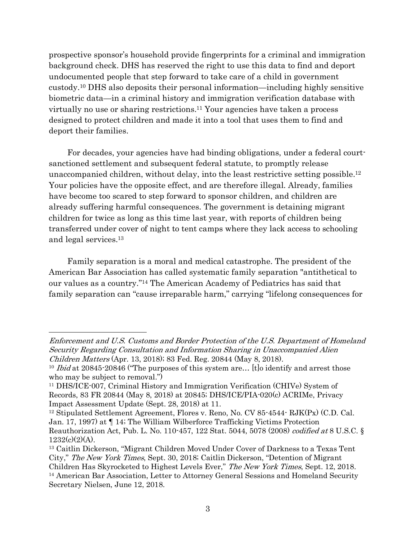prospective sponsor's household provide fingerprints for a criminal and immigration background check. DHS has reserved the right to use this data to find and deport undocumented people that step forward to take care of a child in government custody.10 DHS also deposits their personal information—including highly sensitive biometric data—in a criminal history and immigration verification database with virtually no use or sharing restrictions.11 Your agencies have taken a process designed to protect children and made it into a tool that uses them to find and deport their families.

For decades, your agencies have had binding obligations, under a federal courtsanctioned settlement and subsequent federal statute, to promptly release unaccompanied children, without delay, into the least restrictive setting possible.12 Your policies have the opposite effect, and are therefore illegal. Already, families have become too scared to step forward to sponsor children, and children are already suffering harmful consequences. The government is detaining migrant children for twice as long as this time last year, with reports of children being transferred under cover of night to tent camps where they lack access to schooling and legal services.13

Family separation is a moral and medical catastrophe. The president of the American Bar Association has called systematic family separation "antithetical to our values as a country."14 The American Academy of Pediatrics has said that family separation can "cause irreparable harm," carrying "lifelong consequences for

 $\overline{a}$ 

Enforcement and U.S. Customs and Border Protection of the U.S. Department of Homeland Security Regarding Consultation and Information Sharing in Unaccompanied Alien Children Matters (Apr. 13, 2018); 83 Fed. Reg. 20844 (May 8, 2018).

<sup>&</sup>lt;sup>10</sup> Ibid at 20845-20846 ("The purposes of this system are... [t] o identify and arrest those who may be subject to removal.")

<sup>11</sup> DHS/ICE-007, Criminal History and Immigration Verification (CHIVe) System of Records, 83 FR 20844 (May 8, 2018) at 20845; DHS/ICE/PIA-020(c) ACRIMe, Privacy Impact Assessment Update (Sept. 28, 2018) at 11.

<sup>12</sup> Stipulated Settlement Agreement, Flores v. Reno, No. CV 85-4544- RJK(Px) (C.D. Cal. Jan. 17, 1997) at ¶ 14; The William Wilberforce Trafficking Victims Protection Reauthorization Act, Pub. L. No. 110-457, 122 Stat. 5044, 5078 (2008) codified at 8 U.S.C. §  $1232(c)(2)(A)$ .

<sup>13</sup> Caitlin Dickerson, "Migrant Children Moved Under Cover of Darkness to a Texas Tent City," The New York Times, Sept. 30, 2018; Caitlin Dickerson, "Detention of Migrant Children Has Skyrocketed to Highest Levels Ever," The New York Times, Sept. 12, 2018. <sup>14</sup> American Bar Association, Letter to Attorney General Sessions and Homeland Security Secretary Nielsen, June 12, 2018.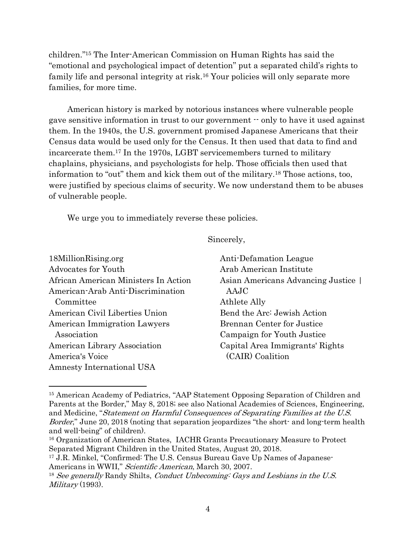children."15 The Inter-American Commission on Human Rights has said the "emotional and psychological impact of detention" put a separated child's rights to family life and personal integrity at risk.16 Your policies will only separate more families, for more time.

American history is marked by notorious instances where vulnerable people gave sensitive information in trust to our government -- only to have it used against them. In the 1940s, the U.S. government promised Japanese Americans that their Census data would be used only for the Census. It then used that data to find and incarcerate them.17 In the 1970s, LGBT servicemembers turned to military chaplains, physicians, and psychologists for help. Those officials then used that information to "out" them and kick them out of the military.18 Those actions, too, were justified by specious claims of security. We now understand them to be abuses of vulnerable people.

We urge you to immediately reverse these policies.

 $\overline{a}$ 

Sincerely,

| 18MillionRising.org                  | Anti-Defamation League            |
|--------------------------------------|-----------------------------------|
| Advocates for Youth                  | Arab American Institute           |
| African American Ministers In Action | Asian Americans Advancing Justice |
| American-Arab Anti-Discrimination    | AAJC                              |
| Committee                            | Athlete Ally                      |
| American Civil Liberties Union       | Bend the Arc: Jewish Action       |
| American Immigration Lawyers         | <b>Brennan Center for Justice</b> |
| Association                          | Campaign for Youth Justice        |
| American Library Association         | Capital Area Immigrants' Rights   |
| America's Voice                      | (CAIR) Coalition                  |
| Amnesty International USA            |                                   |

<sup>&</sup>lt;sup>15</sup> American Academy of Pediatrics, "AAP Statement Opposing Separation of Children and Parents at the Border," May 8, 2018; see also National Academies of Sciences, Engineering, and Medicine, "Statement on Harmful Consequences of Separating Families at the U.S. Border," June 20, 2018 (noting that separation jeopardizes "the short- and long-term health and well-being" of children).

<sup>16</sup> Organization of American States, IACHR Grants Precautionary Measure to Protect Separated Migrant Children in the United States, August 20, 2018.

<sup>&</sup>lt;sup>17</sup> J.R. Minkel, "Confirmed: The U.S. Census Bureau Gave Up Names of Japanese-Americans in WWII," Scientific American, March 30, 2007.

 $18$  See generally Randy Shilts, Conduct Unbecoming: Gays and Lesbians in the U.S. Military (1993).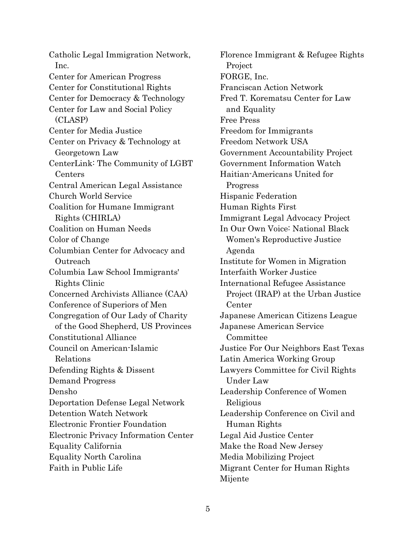Catholic Legal Immigration Network, Inc. Center for American Progress Center for Constitutional Rights Center for Democracy & Technology Center for Law and Social Policy (CLASP) Center for Media Justice Center on Privacy & Technology at Georgetown Law CenterLink: The Community of LGBT Centers Central American Legal Assistance Church World Service Coalition for Humane Immigrant Rights (CHIRLA) Coalition on Human Needs Color of Change Columbian Center for Advocacy and **Outreach** Columbia Law School Immigrants' Rights Clinic Concerned Archivists Alliance (CAA) Conference of Superiors of Men Congregation of Our Lady of Charity of the Good Shepherd, US Provinces Constitutional Alliance Council on American-Islamic Relations Defending Rights & Dissent Demand Progress Densho Deportation Defense Legal Network Detention Watch Network Electronic Frontier Foundation Electronic Privacy Information Center Equality California Equality North Carolina Faith in Public Life

Florence Immigrant & Refugee Rights Project FORGE, Inc. Franciscan Action Network Fred T. Korematsu Center for Law and Equality Free Press Freedom for Immigrants Freedom Network USA Government Accountability Project Government Information Watch Haitian-Americans United for Progress Hispanic Federation Human Rights First Immigrant Legal Advocacy Project In Our Own Voice: National Black Women's Reproductive Justice Agenda Institute for Women in Migration Interfaith Worker Justice International Refugee Assistance Project (IRAP) at the Urban Justice Center Japanese American Citizens League Japanese American Service Committee Justice For Our Neighbors East Texas Latin America Working Group Lawyers Committee for Civil Rights Under Law Leadership Conference of Women Religious Leadership Conference on Civil and Human Rights Legal Aid Justice Center Make the Road New Jersey Media Mobilizing Project Migrant Center for Human Rights Mijente